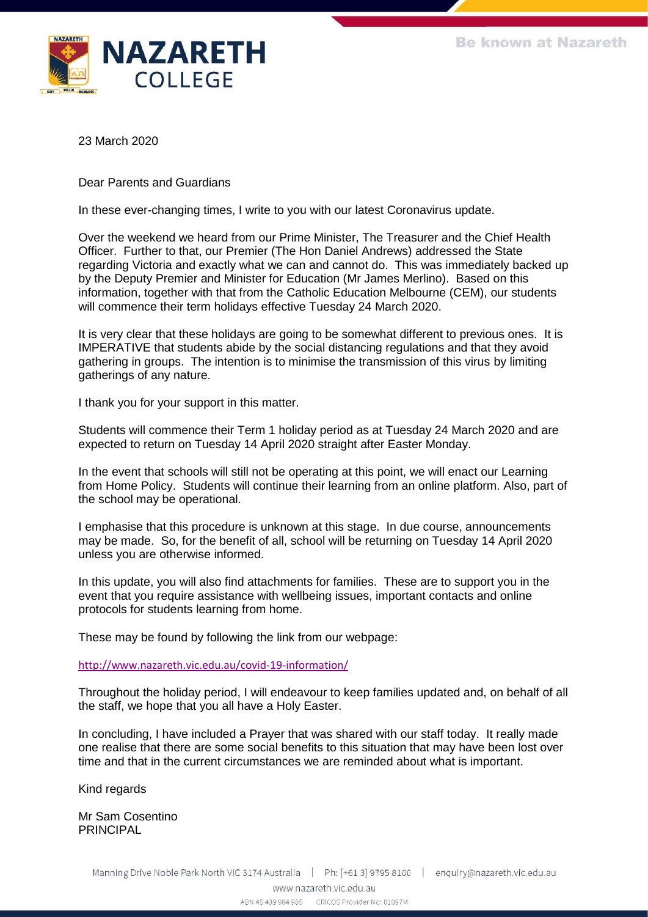

23 March 2020

Dear Parents and Guardians

In these ever-changing times, I write to you with our latest Coronavirus update.

Over the weekend we heard from our Prime Minister, The Treasurer and the Chief Health Officer. Further to that, our Premier (The Hon Daniel Andrews) addressed the State regarding Victoria and exactly what we can and cannot do. This was immediately backed up by the Deputy Premier and Minister for Education (Mr James Merlino). Based on this information, together with that from the Catholic Education Melbourne (CEM), our students will commence their term holidays effective Tuesday 24 March 2020.

It is very clear that these holidays are going to be somewhat different to previous ones. It is IMPERATIVE that students abide by the social distancing regulations and that they avoid gathering in groups. The intention is to minimise the transmission of this virus by limiting gatherings of any nature.

I thank you for your support in this matter.

Students will commence their Term 1 holiday period as at Tuesday 24 March 2020 and are expected to return on Tuesday 14 April 2020 straight after Easter Monday.

In the event that schools will still not be operating at this point, we will enact our Learning from Home Policy. Students will continue their learning from an online platform. Also, part of the school may be operational.

I emphasise that this procedure is unknown at this stage. In due course, announcements may be made. So, for the benefit of all, school will be returning on Tuesday 14 April 2020 unless you are otherwise informed.

In this update, you will also find attachments for families. These are to support you in the event that you require assistance with wellbeing issues, important contacts and online protocols for students learning from home.

These may be found by following the link from our webpage:

[http://www.nazareth.vic.edu.au/covid-19-information/](https://protect-au.mimecast.com/s/OHRtCBNq2qU73gDCvtxjf?domain=nazareth.vic.edu.au/)

Throughout the holiday period, I will endeavour to keep families updated and, on behalf of all the staff, we hope that you all have a Holy Easter.

In concluding, I have included a Prayer that was shared with our staff today. It really made one realise that there are some social benefits to this situation that may have been lost over time and that in the current circumstances we are reminded about what is important.

Kind regards

Mr Sam Cosentino PRINCIPAL

ABN 45 439 984 985 CRICOS Provider No: 01097M